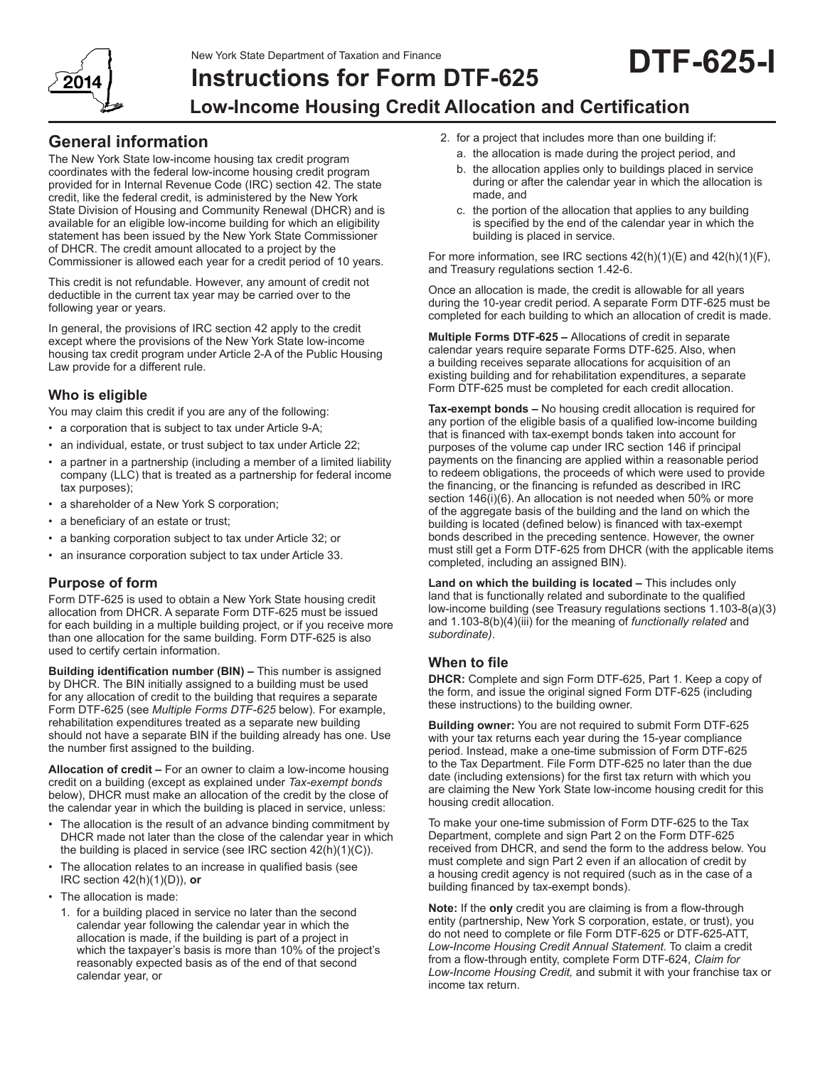New York State Department of Taxation and Finance



# **Instructions for Form DTF-625 Low-Income Housing Credit Allocation and Certification DTF-625-I**

# **General information**

The New York State low‑income housing tax credit program coordinates with the federal low‑income housing credit program provided for in Internal Revenue Code (IRC) section 42. The state credit, like the federal credit, is administered by the New York State Division of Housing and Community Renewal (DHCR) and is available for an eligible low‑income building for which an eligibility statement has been issued by the New York State Commissioner of DHCR. The credit amount allocated to a project by the Commissioner is allowed each year for a credit period of 10 years.

This credit is not refundable. However, any amount of credit not deductible in the current tax year may be carried over to the following year or years.

In general, the provisions of IRC section 42 apply to the credit except where the provisions of the New York State low-income housing tax credit program under Article 2‑A of the Public Housing Law provide for a different rule.

# **Who is eligible**

You may claim this credit if you are any of the following:

- a corporation that is subject to tax under Article 9-A;
- an individual, estate, or trust subject to tax under Article 22;
- a partner in a partnership (including a member of a limited liability company (LLC) that is treated as a partnership for federal income tax purposes);
- a shareholder of a New York S corporation;
- a beneficiary of an estate or trust;
- a banking corporation subject to tax under Article 32; or
- an insurance corporation subject to tax under Article 33.

### **Purpose of form**

Form DTF‑625 is used to obtain a New York State housing credit allocation from DHCR. A separate Form DTF‑625 must be issued for each building in a multiple building project, or if you receive more than one allocation for the same building. Form DTF‑625 is also used to certify certain information.

**Building identification number (BIN) –** This number is assigned by DHCR. The BIN initially assigned to a building must be used for any allocation of credit to the building that requires a separate Form DTF‑625 (see *Multiple Forms DTF‑625* below). For example, rehabilitation expenditures treated as a separate new building should not have a separate BIN if the building already has one. Use the number first assigned to the building.

**Allocation of credit –** For an owner to claim a low‑income housing credit on a building (except as explained under *Tax‑exempt bonds* below), DHCR must make an allocation of the credit by the close of the calendar year in which the building is placed in service, unless:

- The allocation is the result of an advance binding commitment by DHCR made not later than the close of the calendar year in which the building is placed in service (see IRC section 42(h)(1)(C)).
- The allocation relates to an increase in qualified basis (see IRC section 42(h)(1)(D)), **or**
- The allocation is made:
	- 1. for a building placed in service no later than the second calendar year following the calendar year in which the allocation is made, if the building is part of a project in which the taxpayer's basis is more than 10% of the project's reasonably expected basis as of the end of that second calendar year, or
- 2. for a project that includes more than one building if:
	- a. the allocation is made during the project period, and
	- b. the allocation applies only to buildings placed in service during or after the calendar year in which the allocation is made, and
	- c. the portion of the allocation that applies to any building is specified by the end of the calendar year in which the building is placed in service.

For more information, see IRC sections 42(h)(1)(E) and 42(h)(1)(F), and Treasury regulations section 1.42-6.

Once an allocation is made, the credit is allowable for all years during the 10-year credit period. A separate Form DTF‑625 must be completed for each building to which an allocation of credit is made.

**Multiple Forms DTF-625 –** Allocations of credit in separate calendar years require separate Forms DTF‑625. Also, when a building receives separate allocations for acquisition of an existing building and for rehabilitation expenditures, a separate Form DTF‑625 must be completed for each credit allocation.

**Tax-exempt bonds –** No housing credit allocation is required for any portion of the eligible basis of a qualified low‑income building that is financed with tax‑exempt bonds taken into account for purposes of the volume cap under IRC section 146 if principal payments on the financing are applied within a reasonable period to redeem obligations, the proceeds of which were used to provide the financing, or the financing is refunded as described in IRC section 146(i)(6). An allocation is not needed when 50% or more of the aggregate basis of the building and the land on which the building is located (defined below) is financed with tax-exempt bonds described in the preceding sentence. However, the owner must still get a Form DTF‑625 from DHCR (with the applicable items completed, including an assigned BIN).

**Land on which the building is located –** This includes only land that is functionally related and subordinate to the qualified low‑income building (see Treasury regulations sections 1.103-8(a)(3) and 1.103-8(b)(4)(iii) for the meaning of *functionally related* and *subordinate)*.

### **When to file**

**DHCR:** Complete and sign Form DTF-625, Part 1. Keep a copy of the form, and issue the original signed Form DTF-625 (including these instructions) to the building owner.

**Building owner:** You are not required to submit Form DTF-625 with your tax returns each year during the 15-year compliance period. Instead, make a one-time submission of Form DTF-625 to the Tax Department. File Form DTF-625 no later than the due date (including extensions) for the first tax return with which you are claiming the New York State low-income housing credit for this housing credit allocation.

To make your one-time submission of Form DTF-625 to the Tax Department, complete and sign Part 2 on the Form DTF-625 received from DHCR, and send the form to the address below. You must complete and sign Part 2 even if an allocation of credit by a housing credit agency is not required (such as in the case of a building financed by tax-exempt bonds).

**Note:** If the **only** credit you are claiming is from a flow‑through entity (partnership, New York S corporation, estate, or trust), you do not need to complete or file Form DTF‑625 or DTF‑625‑ATT, *Low-Income Housing Credit Annual Statement.* To claim a credit from a flow‑through entity, complete Form DTF‑624, *Claim for Low-Income Housing Credit,* and submit it with your franchise tax or income tax return.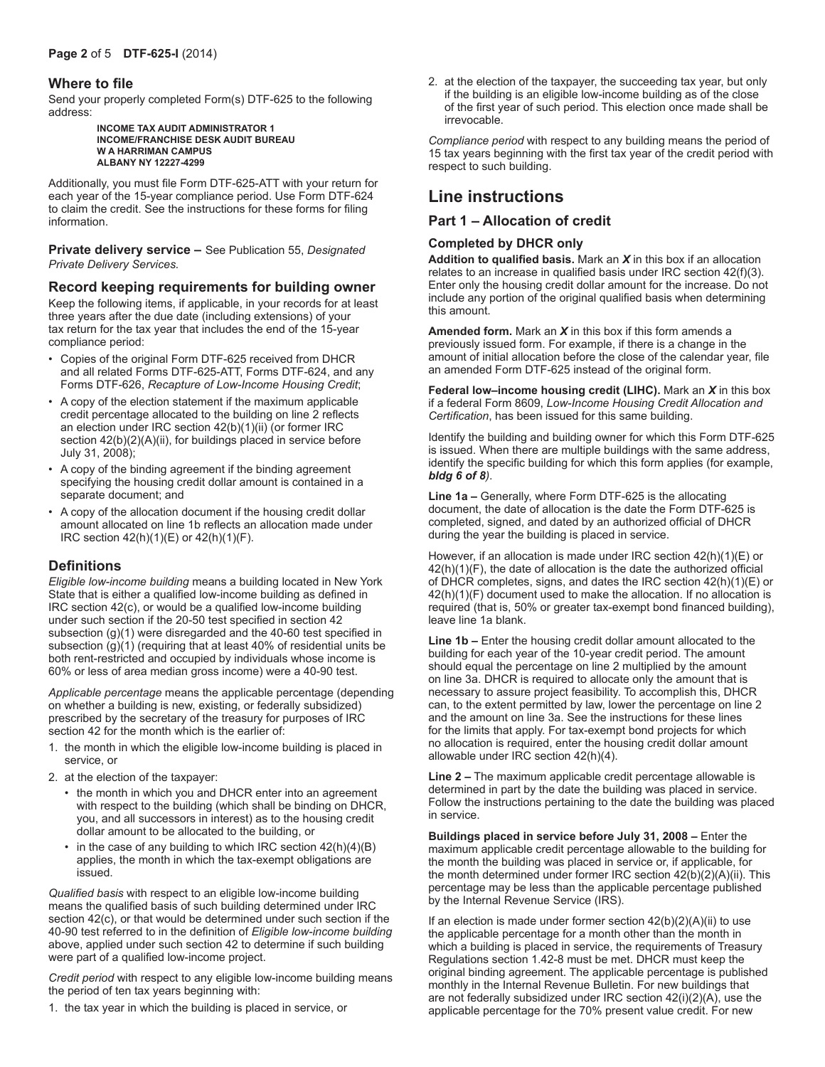#### **Where to file**

Send your properly completed Form(s) DTF-625 to the following address:

#### **INCOME TAX AUDIT ADMINISTRATOR 1 INCOME/FRANCHISE DESK AUDIT BUREAU W A HARRIMAN CAMPUS ALBANY NY 12227-4299**

Additionally, you must file Form DTF-625-ATT with your return for each year of the 15-year compliance period. Use Form DTF-624 to claim the credit. See the instructions for these forms for filing information.

**Private delivery service –** See Publication 55, *Designated Private Delivery Services.*

#### **Record keeping requirements for building owner**

Keep the following items, if applicable, in your records for at least three years after the due date (including extensions) of your tax return for the tax year that includes the end of the 15-year compliance period:

- • Copies of the original Form DTF-625 received from DHCR and all related Forms DTF-625-ATT, Forms DTF-624, and any Forms DTF-626, *Recapture of Low-Income Housing Credit*;
- • A copy of the election statement if the maximum applicable credit percentage allocated to the building on line 2 reflects an election under IRC section 42(b)(1)(ii) (or former IRC section  $42(b)(2)(A)(ii)$ , for buildings placed in service before July 31, 2008);
- A copy of the binding agreement if the binding agreement specifying the housing credit dollar amount is contained in a separate document; and
- A copy of the allocation document if the housing credit dollar amount allocated on line 1b reflects an allocation made under IRC section 42(h)(1)(E) or 42(h)(1)(F).

# **Definitions**

*Eligible low‑income building* means a building located in New York State that is either a qualified low‑income building as defined in IRC section 42(c), or would be a qualified low‑income building under such section if the 20‑50 test specified in section 42 subsection (g)(1) were disregarded and the 40‑60 test specified in subsection (g)(1) (requiring that at least 40% of residential units be both rent-restricted and occupied by individuals whose income is 60% or less of area median gross income) were a 40‑90 test.

*Applicable percentage* means the applicable percentage (depending on whether a building is new, existing, or federally subsidized) prescribed by the secretary of the treasury for purposes of IRC section 42 for the month which is the earlier of:

- 1. the month in which the eligible low‑income building is placed in service, or
- 2. at the election of the taxpayer:
	- the month in which you and DHCR enter into an agreement with respect to the building (which shall be binding on DHCR, you, and all successors in interest) as to the housing credit dollar amount to be allocated to the building, or
	- $\cdot$  in the case of any building to which IRC section  $42(h)(4)(B)$ applies, the month in which the tax-exempt obligations are issued.

*Qualified basis* with respect to an eligible low‑income building means the qualified basis of such building determined under IRC section 42(c), or that would be determined under such section if the 40‑90 test referred to in the definition of *Eligible low‑income building* above, applied under such section 42 to determine if such building were part of a qualified low-income project.

*Credit period* with respect to any eligible low‑income building means the period of ten tax years beginning with:

1. the tax year in which the building is placed in service, or

2. at the election of the taxpayer, the succeeding tax year, but only if the building is an eligible low‑income building as of the close of the first year of such period. This election once made shall be irrevocable.

*Compliance period* with respect to any building means the period of 15 tax years beginning with the first tax year of the credit period with respect to such building.

# **Line instructions**

#### **Part 1 – Allocation of credit**

#### **Completed by DHCR only**

**Addition to qualified basis.** Mark an *X* in this box if an allocation relates to an increase in qualified basis under IRC section 42(f)(3). Enter only the housing credit dollar amount for the increase. Do not include any portion of the original qualified basis when determining this amount.

**Amended form.** Mark an *X* in this box if this form amends a previously issued form. For example, if there is a change in the amount of initial allocation before the close of the calendar year, file an amended Form DTF‑625 instead of the original form.

**Federal low–income housing credit (LIHC).** Mark an *X* in this box if a federal Form 8609, *Low‑Income Housing Credit Allocation and Certification*, has been issued for this same building.

Identify the building and building owner for which this Form DTF‑625 is issued. When there are multiple buildings with the same address, identify the specific building for which this form applies (for example, *bldg 6 of 8)*.

**Line 1a –** Generally, where Form DTF-625 is the allocating document, the date of allocation is the date the Form DTF‑625 is completed, signed, and dated by an authorized official of DHCR during the year the building is placed in service.

However, if an allocation is made under IRC section 42(h)(1)(E) or 42(h)(1)(F), the date of allocation is the date the authorized official of DHCR completes, signs, and dates the IRC section 42(h)(1)(E) or 42(h)(1)(F) document used to make the allocation. If no allocation is required (that is, 50% or greater tax-exempt bond financed building), leave line 1a blank.

**Line 1b –** Enter the housing credit dollar amount allocated to the building for each year of the 10‑year credit period. The amount should equal the percentage on line 2 multiplied by the amount on line 3a. DHCR is required to allocate only the amount that is necessary to assure project feasibility. To accomplish this, DHCR can, to the extent permitted by law, lower the percentage on line 2 and the amount on line 3a. See the instructions for these lines for the limits that apply. For tax-exempt bond projects for which no allocation is required, enter the housing credit dollar amount allowable under IRC section 42(h)(4).

**Line 2 –** The maximum applicable credit percentage allowable is determined in part by the date the building was placed in service. Follow the instructions pertaining to the date the building was placed in service.

**Buildings placed in service before July 31, 2008 –** Enter the maximum applicable credit percentage allowable to the building for the month the building was placed in service or, if applicable, for the month determined under former IRC section 42(b)(2)(A)(ii). This percentage may be less than the applicable percentage published by the Internal Revenue Service (IRS).

If an election is made under former section  $42(b)(2)(A)(ii)$  to use the applicable percentage for a month other than the month in which a building is placed in service, the requirements of Treasury Regulations section 1.42‑8 must be met. DHCR must keep the original binding agreement. The applicable percentage is published monthly in the Internal Revenue Bulletin. For new buildings that are not federally subsidized under IRC section 42(i)(2)(A), use the applicable percentage for the 70% present value credit. For new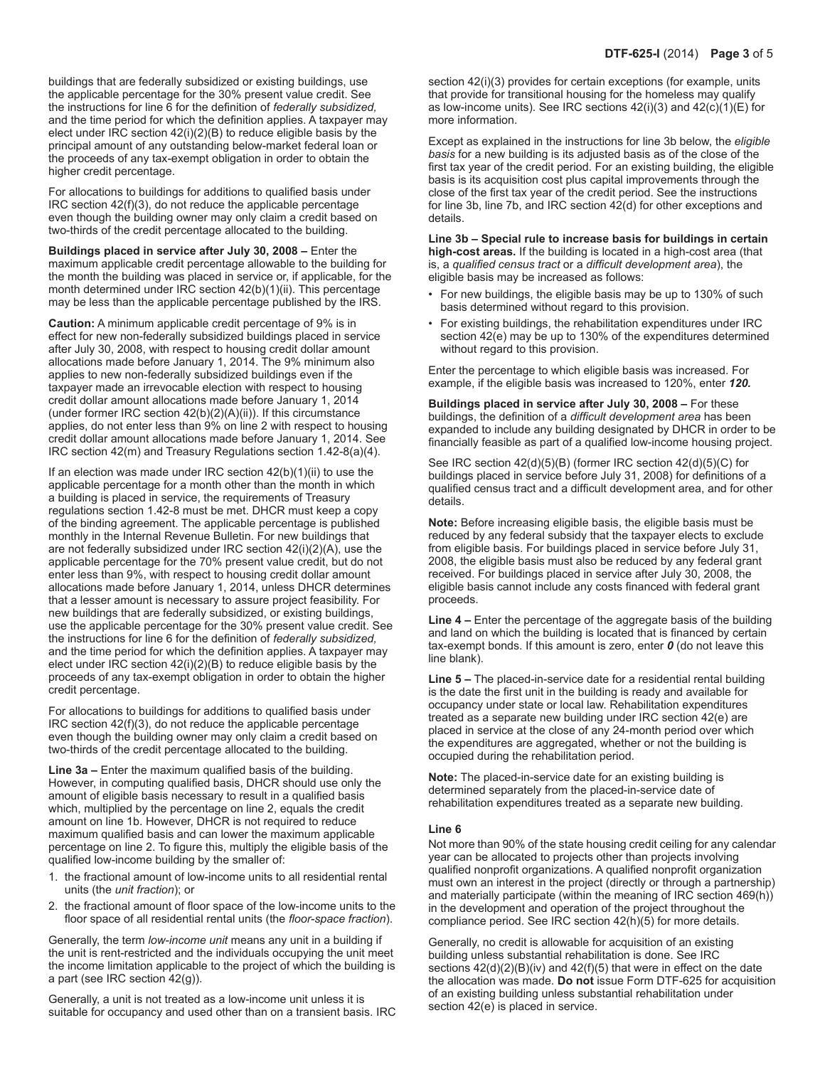buildings that are federally subsidized or existing buildings, use the applicable percentage for the 30% present value credit. See the instructions for line 6 for the definition of *federally subsidized,*  and the time period for which the definition applies. A taxpayer may elect under IRC section 42(i)(2)(B) to reduce eligible basis by the principal amount of any outstanding below‑market federal loan or the proceeds of any tax‑exempt obligation in order to obtain the higher credit percentage.

For allocations to buildings for additions to qualified basis under IRC section 42(f)(3), do not reduce the applicable percentage even though the building owner may only claim a credit based on two-thirds of the credit percentage allocated to the building.

**Buildings placed in service after July 30, 2008 –** Enter the maximum applicable credit percentage allowable to the building for the month the building was placed in service or, if applicable, for the month determined under IRC section 42(b)(1)(ii). This percentage may be less than the applicable percentage published by the IRS.

**Caution:** A minimum applicable credit percentage of 9% is in effect for new non-federally subsidized buildings placed in service after July 30, 2008, with respect to housing credit dollar amount allocations made before January 1, 2014. The 9% minimum also applies to new non-federally subsidized buildings even if the taxpayer made an irrevocable election with respect to housing credit dollar amount allocations made before January 1, 2014 (under former IRC section 42(b)(2)(A)(ii)). If this circumstance applies, do not enter less than 9% on line 2 with respect to housing credit dollar amount allocations made before January 1, 2014. See IRC section 42(m) and Treasury Regulations section 1.42-8(a)(4).

If an election was made under IRC section 42(b)(1)(ii) to use the applicable percentage for a month other than the month in which a building is placed in service, the requirements of Treasury regulations section 1.42-8 must be met. DHCR must keep a copy of the binding agreement. The applicable percentage is published monthly in the Internal Revenue Bulletin. For new buildings that are not federally subsidized under IRC section 42(i)(2)(A), use the applicable percentage for the 70% present value credit, but do not enter less than 9%, with respect to housing credit dollar amount allocations made before January 1, 2014, unless DHCR determines that a lesser amount is necessary to assure project feasibility. For new buildings that are federally subsidized, or existing buildings, use the applicable percentage for the 30% present value credit. See the instructions for line 6 for the definition of *federally subsidized,* and the time period for which the definition applies. A taxpayer may elect under IRC section 42(i)(2)(B) to reduce eligible basis by the proceeds of any tax-exempt obligation in order to obtain the higher credit percentage.

For allocations to buildings for additions to qualified basis under IRC section 42(f)(3), do not reduce the applicable percentage even though the building owner may only claim a credit based on two-thirds of the credit percentage allocated to the building.

**Line 3a –** Enter the maximum qualified basis of the building. However, in computing qualified basis, DHCR should use only the amount of eligible basis necessary to result in a qualified basis which, multiplied by the percentage on line 2, equals the credit amount on line 1b. However, DHCR is not required to reduce maximum qualified basis and can lower the maximum applicable percentage on line 2. To figure this, multiply the eligible basis of the qualified low‑income building by the smaller of:

- 1. the fractional amount of low-income units to all residential rental units (the *unit fraction*); or
- 2. the fractional amount of floor space of the low-income units to the floor space of all residential rental units (the *floor‑space fraction*).

Generally, the term *low-income unit* means any unit in a building if the unit is rent-restricted and the individuals occupying the unit meet the income limitation applicable to the project of which the building is a part (see IRC section 42(g)).

Generally, a unit is not treated as a low-income unit unless it is suitable for occupancy and used other than on a transient basis. IRC

section 42(i)(3) provides for certain exceptions (for example, units that provide for transitional housing for the homeless may qualify as low-income units). See IRC sections  $42(i)(3)$  and  $42(c)(1)(E)$  for more information.

Except as explained in the instructions for line 3b below, the *eligible basis* for a new building is its adjusted basis as of the close of the first tax year of the credit period. For an existing building, the eligible basis is its acquisition cost plus capital improvements through the close of the first tax year of the credit period. See the instructions for line 3b, line 7b, and IRC section 42(d) for other exceptions and details.

**Line 3b – Special rule to increase basis for buildings in certain high-cost areas.** If the building is located in a high-cost area (that is, a *qualified census tract* or a *difficult development area*), the eligible basis may be increased as follows:

- For new buildings, the eligible basis may be up to 130% of such basis determined without regard to this provision.
- For existing buildings, the rehabilitation expenditures under IRC section 42(e) may be up to 130% of the expenditures determined without regard to this provision.

Enter the percentage to which eligible basis was increased. For example, if the eligible basis was increased to 120%, enter *120.*

**Buildings placed in service after July 30, 2008 –** For these buildings, the definition of a *difficult development area* has been expanded to include any building designated by DHCR in order to be financially feasible as part of a qualified low-income housing project.

See IRC section 42(d)(5)(B) (former IRC section 42(d)(5)(C) for buildings placed in service before July 31, 2008) for definitions of a qualified census tract and a difficult development area, and for other details.

**Note:** Before increasing eligible basis, the eligible basis must be reduced by any federal subsidy that the taxpayer elects to exclude from eligible basis. For buildings placed in service before July 31, 2008, the eligible basis must also be reduced by any federal grant received. For buildings placed in service after July 30, 2008, the eligible basis cannot include any costs financed with federal grant proceeds.

**Line 4 –** Enter the percentage of the aggregate basis of the building and land on which the building is located that is financed by certain tax-exempt bonds. If this amount is zero, enter *0* (do not leave this line blank).

**Line 5 –** The placed-in-service date for a residential rental building is the date the first unit in the building is ready and available for occupancy under state or local law. Rehabilitation expenditures treated as a separate new building under IRC section 42(e) are placed in service at the close of any 24‑month period over which the expenditures are aggregated, whether or not the building is occupied during the rehabilitation period.

**Note:** The placed-in-service date for an existing building is determined separately from the placed-in-service date of rehabilitation expenditures treated as a separate new building.

#### **Line 6**

Not more than 90% of the state housing credit ceiling for any calendar year can be allocated to projects other than projects involving qualified nonprofit organizations. A qualified nonprofit organization must own an interest in the project (directly or through a partnership) and materially participate (within the meaning of IRC section 469(h)) in the development and operation of the project throughout the compliance period. See IRC section 42(h)(5) for more details.

Generally, no credit is allowable for acquisition of an existing building unless substantial rehabilitation is done. See IRC sections 42(d)(2)(B)(iv) and 42(f)(5) that were in effect on the date the allocation was made. **Do not** issue Form DTF‑625 for acquisition of an existing building unless substantial rehabilitation under section 42(e) is placed in service.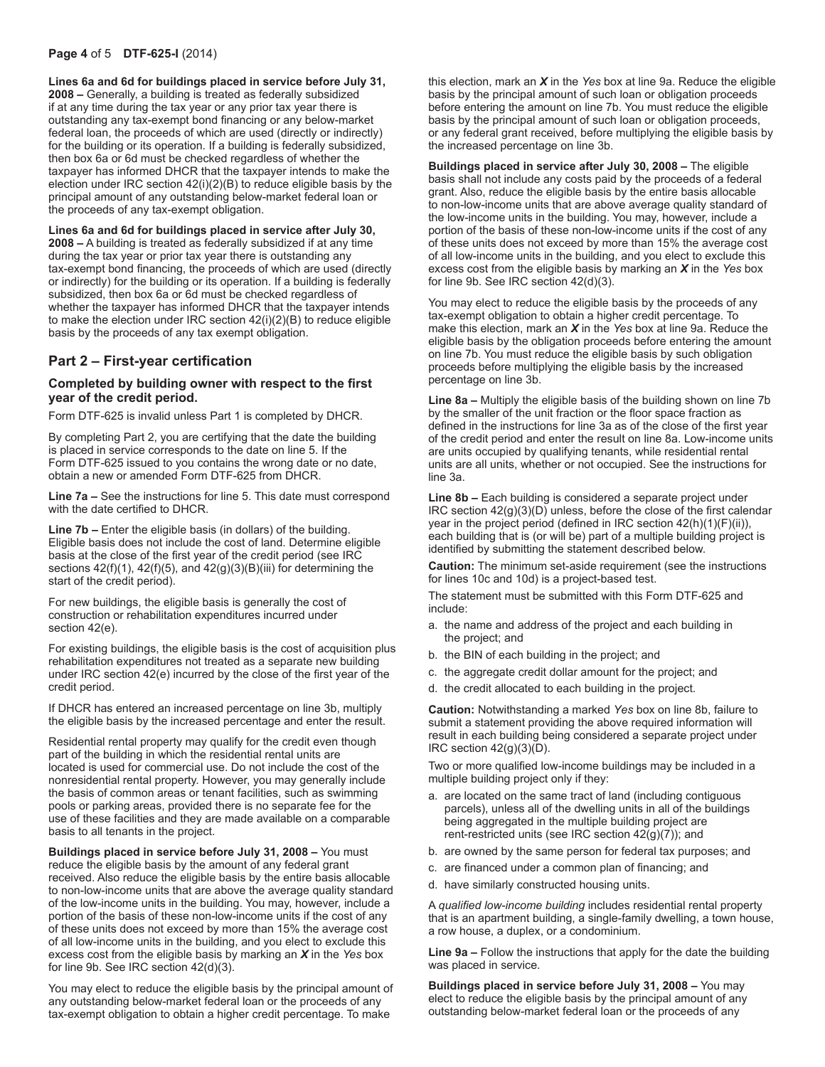#### **Page 4** of 5 **DTF-625-I** (2014)

**Lines 6a and 6d for buildings placed in service before July 31, 2008 –** Generally, a building is treated as federally subsidized if at any time during the tax year or any prior tax year there is outstanding any tax‑exempt bond financing or any below‑market federal loan, the proceeds of which are used (directly or indirectly) for the building or its operation. If a building is federally subsidized, then box 6a or 6d must be checked regardless of whether the taxpayer has informed DHCR that the taxpayer intends to make the election under IRC section 42(i)(2)(B) to reduce eligible basis by the principal amount of any outstanding below-market federal loan or the proceeds of any tax-exempt obligation.

**Lines 6a and 6d for buildings placed in service after July 30, 2008 –** A building is treated as federally subsidized if at any time during the tax year or prior tax year there is outstanding any tax-exempt bond financing, the proceeds of which are used (directly or indirectly) for the building or its operation. If a building is federally subsidized, then box 6a or 6d must be checked regardless of whether the taxpayer has informed DHCR that the taxpayer intends to make the election under IRC section 42(i)(2)(B) to reduce eligible basis by the proceeds of any tax exempt obligation.

### **Part 2 – First‑year certification**

#### **Completed by building owner with respect to the first year of the credit period.**

Form DTF‑625 is invalid unless Part 1 is completed by DHCR.

By completing Part 2, you are certifying that the date the building is placed in service corresponds to the date on line 5. If the Form DTF‑625 issued to you contains the wrong date or no date, obtain a new or amended Form DTF‑625 from DHCR.

**Line 7a –** See the instructions for line 5. This date must correspond with the date certified to DHCR.

**Line 7b –** Enter the eligible basis (in dollars) of the building. Eligible basis does not include the cost of land. Determine eligible basis at the close of the first year of the credit period (see IRC sections  $42(f)(1)$ ,  $42(f)(5)$ , and  $42(g)(3)(B)(iii)$  for determining the start of the credit period).

For new buildings, the eligible basis is generally the cost of construction or rehabilitation expenditures incurred under section 42(e).

For existing buildings, the eligible basis is the cost of acquisition plus rehabilitation expenditures not treated as a separate new building under IRC section 42(e) incurred by the close of the first year of the credit period.

If DHCR has entered an increased percentage on line 3b, multiply the eligible basis by the increased percentage and enter the result.

Residential rental property may qualify for the credit even though part of the building in which the residential rental units are located is used for commercial use. Do not include the cost of the nonresidential rental property. However, you may generally include the basis of common areas or tenant facilities, such as swimming pools or parking areas, provided there is no separate fee for the use of these facilities and they are made available on a comparable basis to all tenants in the project.

**Buildings placed in service before July 31, 2008 –** You must reduce the eligible basis by the amount of any federal grant received. Also reduce the eligible basis by the entire basis allocable to non-low-income units that are above the average quality standard of the low-income units in the building. You may, however, include a portion of the basis of these non-low-income units if the cost of any of these units does not exceed by more than 15% the average cost of all low-income units in the building, and you elect to exclude this excess cost from the eligible basis by marking an *X* in the *Yes* box for line 9b. See IRC section 42(d)(3).

You may elect to reduce the eligible basis by the principal amount of any outstanding below-market federal loan or the proceeds of any tax-exempt obligation to obtain a higher credit percentage. To make

this election, mark an *X* in the *Yes* box at line 9a. Reduce the eligible basis by the principal amount of such loan or obligation proceeds before entering the amount on line 7b. You must reduce the eligible basis by the principal amount of such loan or obligation proceeds, or any federal grant received, before multiplying the eligible basis by the increased percentage on line 3b.

**Buildings placed in service after July 30, 2008 –** The eligible basis shall not include any costs paid by the proceeds of a federal grant. Also, reduce the eligible basis by the entire basis allocable to non-low-income units that are above average quality standard of the low-income units in the building. You may, however, include a portion of the basis of these non-low-income units if the cost of any of these units does not exceed by more than 15% the average cost of all low-income units in the building, and you elect to exclude this excess cost from the eligible basis by marking an *X* in the *Yes* box for line 9b. See IRC section 42(d)(3).

You may elect to reduce the eligible basis by the proceeds of any tax-exempt obligation to obtain a higher credit percentage. To make this election, mark an *X* in the *Yes* box at line 9a. Reduce the eligible basis by the obligation proceeds before entering the amount on line 7b. You must reduce the eligible basis by such obligation proceeds before multiplying the eligible basis by the increased percentage on line 3b.

**Line 8a –** Multiply the eligible basis of the building shown on line 7b by the smaller of the unit fraction or the floor space fraction as defined in the instructions for line 3a as of the close of the first year of the credit period and enter the result on line 8a. Low‑income units are units occupied by qualifying tenants, while residential rental units are all units, whether or not occupied. See the instructions for line 3a.

**Line 8b –** Each building is considered a separate project under IRC section 42(g)(3)(D) unless, before the close of the first calendar year in the project period (defined in IRC section 42(h)(1)(F)(ii)), each building that is (or will be) part of a multiple building project is identified by submitting the statement described below.

**Caution:** The minimum set-aside requirement (see the instructions for lines 10c and 10d) is a project-based test.

The statement must be submitted with this Form DTF-625 and include:

- a. the name and address of the project and each building in the project; and
- b. the BIN of each building in the project: and
- c. the aggregate credit dollar amount for the project; and
- d. the credit allocated to each building in the project.

**Caution:** Notwithstanding a marked *Yes* box on line 8b, failure to submit a statement providing the above required information will result in each building being considered a separate project under IRC section 42(g)(3)(D).

Two or more qualified low‑income buildings may be included in a multiple building project only if they:

- a. are located on the same tract of land (including contiguous parcels), unless all of the dwelling units in all of the buildings being aggregated in the multiple building project are rent-restricted units (see IRC section 42(g)(7)); and
- b. are owned by the same person for federal tax purposes; and
- c. are financed under a common plan of financing; and
- d. have similarly constructed housing units.

A *qualified low‑income building* includes residential rental property that is an apartment building, a single‑family dwelling, a town house, a row house, a duplex, or a condominium.

**Line 9a –** Follow the instructions that apply for the date the building was placed in service.

**Buildings placed in service before July 31, 2008 –** You may elect to reduce the eligible basis by the principal amount of any outstanding below‑market federal loan or the proceeds of any